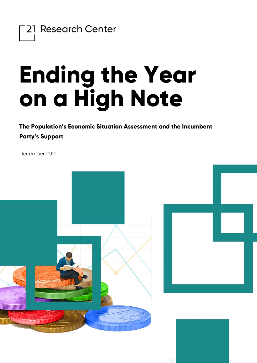

## **Ending the Year on a High Note**

**The Population's Economic Situation Assessment and the Incumbent Party's Support**

December 2021

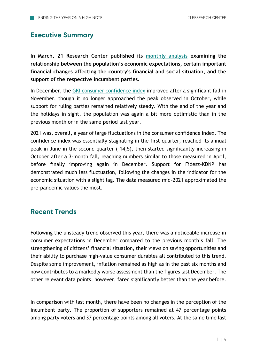## **Executive Summary**

**In March, 21 Research Center published its [monthly analysis](https://21kutatokozpont.hu/wp-content/uploads/2021/03/bizalmi_21marc.pdf) examining the relationship between the population's economic expectations, certain important financial changes affecting the country's financial and social situation, and the support of the respective incumbent parties.**

In December, the [GKI consumer confidence index](https://www.gki.hu/language/hu/2021/12/20/decemberben-az-uzleti-szfera-nagyon-pesszimistan-tekintett-a-magyar-gazdasag-jovojere-de-a-fogyasztok-bizakodobba-valtak/) improved after a significant fall in November, though it no longer approached the peak observed in October, while support for ruling parties remained relatively steady. With the end of the year and the holidays in sight, the population was again a bit more optimistic than in the previous month or in the same period last year.

2021 was, overall, a year of large fluctuations in the consumer confidence index. The confidence index was essentially stagnating in the first quarter, reached its annual peak in June in the second quarter (-14,5), then started significantly increasing in October after a 3-month fall, reaching numbers similar to those measured in April, before finally improving again in December. Support for Fidesz-KDNP has demonstrated much less fluctuation, following the changes in the indicator for the economic situation with a slight lag. The data measured mid-2021 approximated the pre-pandemic values the most.

## **Recent Trends**

Following the unsteady trend observed this year, there was a noticeable increase in consumer expectations in December compared to the previous month's fall. The strengthening of citizens' financial situation, their views on saving opportunities and their ability to purchase high-value consumer durables all contributed to this trend. Despite some improvement, inflation remained as high as in the past six months and now contributes to a markedly worse assessment than the figures last December. The other relevant data points, however, fared significantly better than the year before.

In comparison with last month, there have been no changes in the perception of the incumbent party. The proportion of supporters remained at 47 percentage points among party voters and 37 percentage points among all voters. At the same time last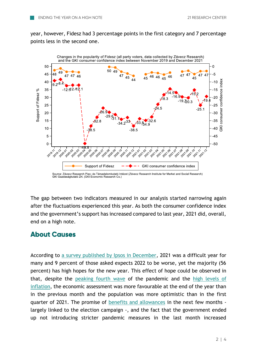year, however, Fidesz had 3 percentage points in the first category and 7 percentage points less in the second one.



The gap between two indicators measured in our analysis started narrowing again after the fluctuations experienced this year. As both the consumer confidence index and the government's support has increased compared to last year, 2021 did, overall, end on a high note.

## **About Causes**

According to [a survey published by Ipsos in December,](https://www.ipsos.com/hu-hu/pozitiv-fiatalok-hozzaallasa-szebbnek-latjak-vilagot) 2021 was a difficult year for many and 9 percent of those asked expects 2022 to be worse, yet the majority (56 percent) has high hopes for the new year. This effect of hope could be observed in that, despite the [peaking fourth](https://www.portfolio.hu/gazdasag/20211206/latszolag-mar-megvolt-a-negyedik-hullam-tetozese-magyarorszagon-de-a-szennyvizmintak-szerint-meg-durvul-a-jarvany-514682) wave of the pandemic and the [high levels of](https://hvg.hu/gazdasag/20211208_inflacio_rekord_ksh)  [inflation,](https://hvg.hu/gazdasag/20211208_inflacio_rekord_ksh) the economic assessment was more favourable at the end of the year than in the previous month and the population was more optimistic than in the first quarter of 2021. The promise of [benefits and allowances](https://index.hu/belfold/2022/01/01/valtozasok-2022-januar-1/) in the next few months largely linked to the election campaign -, and the fact that the government ended up not introducing stricter pandemic measures in the last month increased